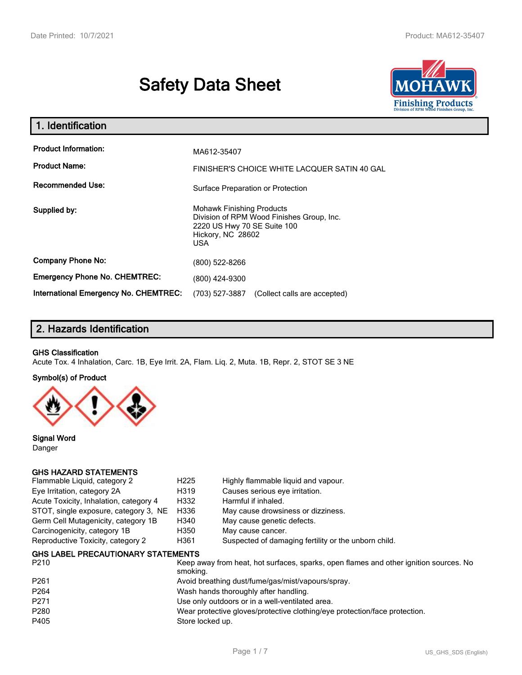# **Safety Data Sheet**



| 1. Identification                            |                                                                                                                                          |  |  |  |  |
|----------------------------------------------|------------------------------------------------------------------------------------------------------------------------------------------|--|--|--|--|
| <b>Product Information:</b>                  | MA612-35407                                                                                                                              |  |  |  |  |
| <b>Product Name:</b>                         | FINISHER'S CHOICE WHITE LACQUER SATIN 40 GAL                                                                                             |  |  |  |  |
| <b>Recommended Use:</b>                      | Surface Preparation or Protection                                                                                                        |  |  |  |  |
| Supplied by:                                 | <b>Mohawk Finishing Products</b><br>Division of RPM Wood Finishes Group, Inc.<br>2220 US Hwy 70 SE Suite 100<br>Hickory, NC 28602<br>USA |  |  |  |  |
| <b>Company Phone No:</b>                     | (800) 522-8266                                                                                                                           |  |  |  |  |
| <b>Emergency Phone No. CHEMTREC:</b>         | (800) 424-9300                                                                                                                           |  |  |  |  |
| <b>International Emergency No. CHEMTREC:</b> | (703) 527-3887<br>(Collect calls are accepted)                                                                                           |  |  |  |  |

# **2. Hazards Identification**

### **GHS Classification**

Acute Tox. 4 Inhalation, Carc. 1B, Eye Irrit. 2A, Flam. Liq. 2, Muta. 1B, Repr. 2, STOT SE 3 NE

### **Symbol(s) of Product**



**Signal Word** Danger

### **GHS HAZARD STATEMENTS**

| Flammable Liquid, category 2           | H <sub>225</sub> | Highly flammable liquid and vapour.                  |
|----------------------------------------|------------------|------------------------------------------------------|
| Eye Irritation, category 2A            | H319             | Causes serious eye irritation.                       |
| Acute Toxicity, Inhalation, category 4 | H332             | Harmful if inhaled.                                  |
| STOT, single exposure, category 3, NE  | H336             | May cause drowsiness or dizziness.                   |
| Germ Cell Mutagenicity, category 1B    | H340             | May cause genetic defects.                           |
| Carcinogenicity, category 1B           | H350             | May cause cancer.                                    |
| Reproductive Toxicity, category 2      | H361             | Suspected of damaging fertility or the unborn child. |
|                                        |                  |                                                      |

### **GHS LABEL PRECAUTIONARY STATEMENTS**

| P <sub>210</sub> | Keep away from heat, hot surfaces, sparks, open flames and other ignition sources. No<br>smoking. |
|------------------|---------------------------------------------------------------------------------------------------|
| P <sub>261</sub> | Avoid breathing dust/fume/gas/mist/vapours/spray.                                                 |
| P <sub>264</sub> | Wash hands thoroughly after handling.                                                             |
| P <sub>271</sub> | Use only outdoors or in a well-ventilated area.                                                   |
| P <sub>280</sub> | Wear protective gloves/protective clothing/eye protection/face protection.                        |
| P405             | Store locked up.                                                                                  |
|                  |                                                                                                   |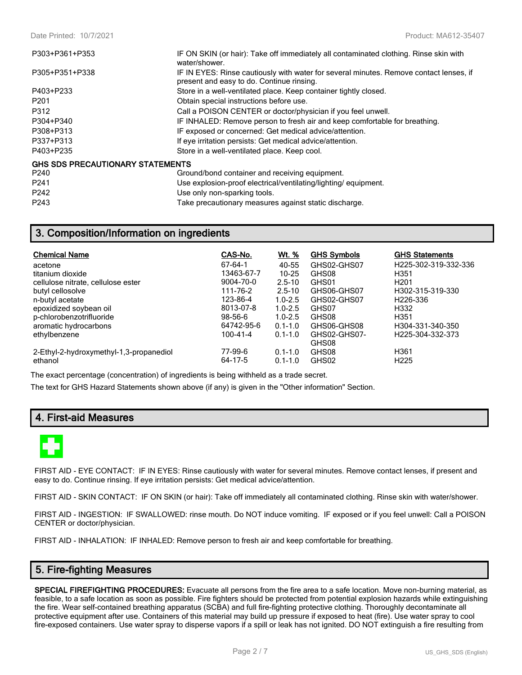| P303+P361+P353                          | IF ON SKIN (or hair): Take off immediately all contaminated clothing. Rinse skin with<br>water/shower.                              |  |  |
|-----------------------------------------|-------------------------------------------------------------------------------------------------------------------------------------|--|--|
| P305+P351+P338                          | IF IN EYES: Rinse cautiously with water for several minutes. Remove contact lenses, if<br>present and easy to do. Continue rinsing. |  |  |
| P403+P233                               | Store in a well-ventilated place. Keep container tightly closed.                                                                    |  |  |
| P <sub>201</sub>                        | Obtain special instructions before use.                                                                                             |  |  |
| P312                                    | Call a POISON CENTER or doctor/physician if you feel unwell.                                                                        |  |  |
| P304+P340                               | IF INHALED: Remove person to fresh air and keep comfortable for breathing.                                                          |  |  |
| P308+P313                               | IF exposed or concerned: Get medical advice/attention.                                                                              |  |  |
| P337+P313                               | If eye irritation persists: Get medical advice/attention.                                                                           |  |  |
| P403+P235                               | Store in a well-ventilated place. Keep cool.                                                                                        |  |  |
| <b>GHS SDS PRECAUTIONARY STATEMENTS</b> |                                                                                                                                     |  |  |
| P <sub>240</sub>                        | Ground/bond container and receiving equipment.                                                                                      |  |  |
| P <sub>241</sub>                        | Use explosion-proof electrical/ventilating/lighting/equipment.                                                                      |  |  |
| P <sub>242</sub>                        | Use only non-sparking tools.                                                                                                        |  |  |
| P <sub>243</sub>                        | Take precautionary measures against static discharge.                                                                               |  |  |

# **3. Composition/Information on ingredients**

| <b>Chemical Name</b>                    | CAS-No.       | <u>Wt. %</u> | <b>GHS Symbols</b> | <b>GHS Statements</b> |
|-----------------------------------------|---------------|--------------|--------------------|-----------------------|
| acetone                                 | 67-64-1       | 40-55        | GHS02-GHS07        | H225-302-319-332-336  |
| titanium dioxide                        | 13463-67-7    | $10 - 25$    | GHS08              | H <sub>351</sub>      |
| cellulose nitrate, cellulose ester      | 9004-70-0     | $2.5 - 10$   | GHS01              | H <sub>201</sub>      |
| butyl cellosolve                        | 111-76-2      | $2.5 - 10$   | GHS06-GHS07        | H302-315-319-330      |
| n-butyl acetate                         | 123-86-4      | $1.0 - 2.5$  | GHS02-GHS07        | H <sub>226</sub> -336 |
| epoxidized soybean oil                  | 8013-07-8     | $1.0 - 2.5$  | GHS07              | H332                  |
| p-chlorobenzotrifluoride                | $98 - 56 - 6$ | $1.0 - 2.5$  | GHS08              | H <sub>351</sub>      |
| aromatic hydrocarbons                   | 64742-95-6    | $0.1 - 1.0$  | GHS06-GHS08        | H304-331-340-350      |
| ethylbenzene                            | 100-41-4      | $0.1 - 1.0$  | GHS02-GHS07-       | H225-304-332-373      |
|                                         |               |              | GHS08              |                       |
| 2-Ethyl-2-hydroxymethyl-1,3-propanediol | 77-99-6       | $0.1 - 1.0$  | GHS08              | H <sub>361</sub>      |
| ethanol                                 | 64-17-5       | $0.1 - 1.0$  | GHS02              | H <sub>225</sub>      |

The exact percentage (concentration) of ingredients is being withheld as a trade secret.

The text for GHS Hazard Statements shown above (if any) is given in the "Other information" Section.

# **4. First-aid Measures**



FIRST AID - EYE CONTACT: IF IN EYES: Rinse cautiously with water for several minutes. Remove contact lenses, if present and easy to do. Continue rinsing. If eye irritation persists: Get medical advice/attention.

FIRST AID - SKIN CONTACT: IF ON SKIN (or hair): Take off immediately all contaminated clothing. Rinse skin with water/shower.

FIRST AID - INGESTION: IF SWALLOWED: rinse mouth. Do NOT induce vomiting. IF exposed or if you feel unwell: Call a POISON CENTER or doctor/physician.

FIRST AID - INHALATION: IF INHALED: Remove person to fresh air and keep comfortable for breathing.

### **5. Fire-fighting Measures**

**SPECIAL FIREFIGHTING PROCEDURES:** Evacuate all persons from the fire area to a safe location. Move non-burning material, as feasible, to a safe location as soon as possible. Fire fighters should be protected from potential explosion hazards while extinguishing the fire. Wear self-contained breathing apparatus (SCBA) and full fire-fighting protective clothing. Thoroughly decontaminate all protective equipment after use. Containers of this material may build up pressure if exposed to heat (fire). Use water spray to cool fire-exposed containers. Use water spray to disperse vapors if a spill or leak has not ignited. DO NOT extinguish a fire resulting from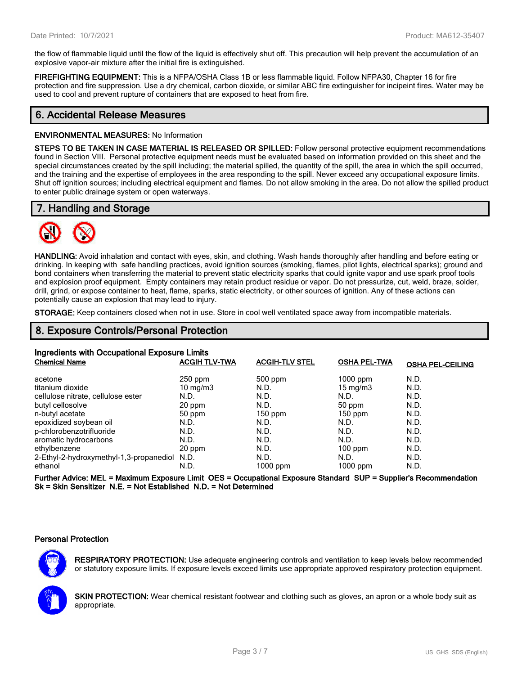the flow of flammable liquid until the flow of the liquid is effectively shut off. This precaution will help prevent the accumulation of an explosive vapor-air mixture after the initial fire is extinguished.

**FIREFIGHTING EQUIPMENT:** This is a NFPA/OSHA Class 1B or less flammable liquid. Follow NFPA30, Chapter 16 for fire protection and fire suppression. Use a dry chemical, carbon dioxide, or similar ABC fire extinguisher for incipeint fires. Water may be used to cool and prevent rupture of containers that are exposed to heat from fire.

# **6. Accidental Release Measures**

#### **ENVIRONMENTAL MEASURES:** No Information

**STEPS TO BE TAKEN IN CASE MATERIAL IS RELEASED OR SPILLED:** Follow personal protective equipment recommendations found in Section VIII. Personal protective equipment needs must be evaluated based on information provided on this sheet and the special circumstances created by the spill including; the material spilled, the quantity of the spill, the area in which the spill occurred, and the training and the expertise of employees in the area responding to the spill. Never exceed any occupational exposure limits. Shut off ignition sources; including electrical equipment and flames. Do not allow smoking in the area. Do not allow the spilled product to enter public drainage system or open waterways.

# **7. Handling and Storage**



**HANDLING:** Avoid inhalation and contact with eyes, skin, and clothing. Wash hands thoroughly after handling and before eating or drinking. In keeping with safe handling practices, avoid ignition sources (smoking, flames, pilot lights, electrical sparks); ground and bond containers when transferring the material to prevent static electricity sparks that could ignite vapor and use spark proof tools and explosion proof equipment. Empty containers may retain product residue or vapor. Do not pressurize, cut, weld, braze, solder, drill, grind, or expose container to heat, flame, sparks, static electricity, or other sources of ignition. Any of these actions can potentially cause an explosion that may lead to injury.

**STORAGE:** Keep containers closed when not in use. Store in cool well ventilated space away from incompatible materials.

## **8. Exposure Controls/Personal Protection**

| Ingredients with Occupational Exposure Limits |                      |                       |                     |                         |  |
|-----------------------------------------------|----------------------|-----------------------|---------------------|-------------------------|--|
| <b>Chemical Name</b>                          | <b>ACGIH TLV-TWA</b> | <b>ACGIH-TLV STEL</b> | <b>OSHA PEL-TWA</b> | <b>OSHA PEL-CEILING</b> |  |
| acetone                                       | $250$ ppm            | $500$ ppm             | $1000$ ppm          | N.D.                    |  |
| titanium dioxide                              | $10 \text{ mg/m}$    | N.D.                  | $15 \text{ mg/m}$   | N.D.                    |  |
| cellulose nitrate, cellulose ester            | N.D.                 | N.D.                  | N.D.                | N.D.                    |  |
| butyl cellosolve                              | 20 ppm               | N.D.                  | 50 ppm              | N.D.                    |  |
| n-butyl acetate                               | 50 ppm               | $150$ ppm             | $150$ ppm           | N.D.                    |  |
| epoxidized soybean oil                        | N.D.                 | N.D.                  | N.D.                | N.D.                    |  |
| p-chlorobenzotrifluoride                      | N.D.                 | N.D.                  | N.D.                | N.D.                    |  |
| aromatic hydrocarbons                         | N.D.                 | N.D.                  | N.D.                | N.D.                    |  |
| ethylbenzene                                  | 20 ppm               | N.D.                  | $100$ ppm           | N.D.                    |  |
| 2-Ethyl-2-hydroxymethyl-1,3-propanediol N.D.  |                      | N.D.                  | N.D.                | N.D.                    |  |
| ethanol                                       | N.D.                 | 1000 ppm              | $1000$ ppm          | N.D.                    |  |

**Further Advice: MEL = Maximum Exposure Limit OES = Occupational Exposure Standard SUP = Supplier's Recommendation Sk = Skin Sensitizer N.E. = Not Established N.D. = Not Determined**

### **Personal Protection**



**RESPIRATORY PROTECTION:** Use adequate engineering controls and ventilation to keep levels below recommended or statutory exposure limits. If exposure levels exceed limits use appropriate approved respiratory protection equipment.

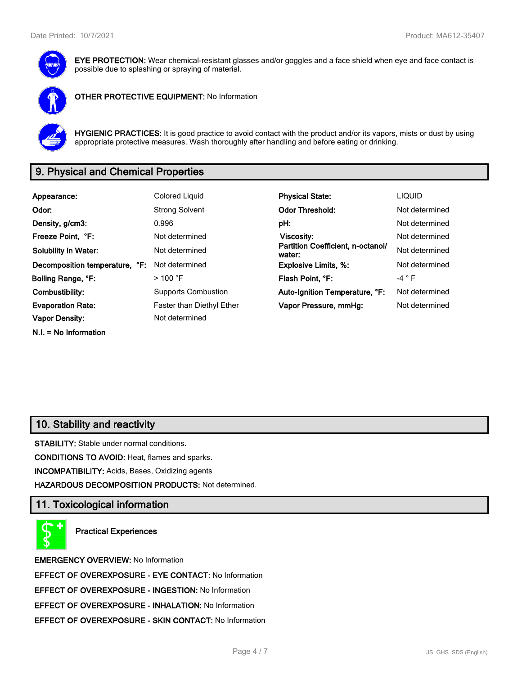

**EYE PROTECTION:** Wear chemical-resistant glasses and/or goggles and a face shield when eye and face contact is possible due to splashing or spraying of material.



**OTHER PROTECTIVE EQUIPMENT:** No Information



**HYGIENIC PRACTICES:** It is good practice to avoid contact with the product and/or its vapors, mists or dust by using appropriate protective measures. Wash thoroughly after handling and before eating or drinking.

# **9. Physical and Chemical Properties**

| Appearance:                    | <b>Colored Liquid</b>            | <b>Physical State:</b>                      | <b>LIQUID</b>   |
|--------------------------------|----------------------------------|---------------------------------------------|-----------------|
| Odor:                          | <b>Strong Solvent</b>            | <b>Odor Threshold:</b>                      | Not determined  |
| Density, g/cm3:                | 0.996                            | pH:                                         | Not determined  |
| Freeze Point, °F:              | Not determined                   | Viscosity:                                  | Not determined  |
| <b>Solubility in Water:</b>    | Not determined                   | Partition Coefficient, n-octanol/<br>water: | Not determined  |
| Decomposition temperature, °F: | Not determined                   | <b>Explosive Limits, %:</b>                 | Not determined  |
| Boiling Range, °F:             | $>$ 100 °F                       | Flash Point, °F:                            | -4 $^{\circ}$ F |
| Combustibility:                | <b>Supports Combustion</b>       | Auto-Ignition Temperature, °F:              | Not determined  |
| <b>Evaporation Rate:</b>       | <b>Faster than Diethyl Ether</b> | Vapor Pressure, mmHg:                       | Not determined  |
| <b>Vapor Density:</b>          | Not determined                   |                                             |                 |
| $N.I. = No Information$        |                                  |                                             |                 |

# **10. Stability and reactivity**

**STABILITY:** Stable under normal conditions.

**CONDITIONS TO AVOID:** Heat, flames and sparks.

**INCOMPATIBILITY:** Acids, Bases, Oxidizing agents

**HAZARDOUS DECOMPOSITION PRODUCTS:** Not determined.

### **11. Toxicological information**

**Practical Experiences**

**EMERGENCY OVERVIEW:** No Information **EFFECT OF OVEREXPOSURE - EYE CONTACT:** No Information **EFFECT OF OVEREXPOSURE - INGESTION:** No Information **EFFECT OF OVEREXPOSURE - INHALATION:** No Information **EFFECT OF OVEREXPOSURE - SKIN CONTACT:** No Information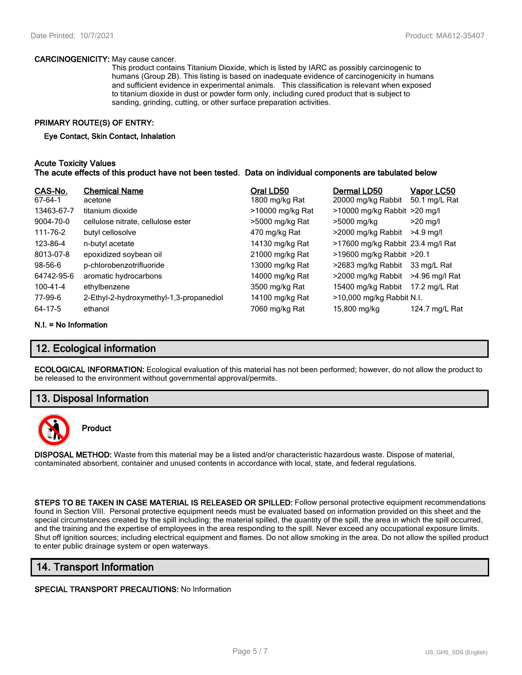#### **CARCINOGENICITY:** May cause cancer.

This product contains Titanium Dioxide, which is listed by IARC as possibly carcinogenic to humans (Group 2B). This listing is based on inadequate evidence of carcinogenicity in humans and sufficient evidence in experimental animals. This classification is relevant when exposed to titanium dioxide in dust or powder form only, including cured product that is subject to sanding, grinding, cutting, or other surface preparation activities.

### **PRIMARY ROUTE(S) OF ENTRY:**

#### **Eye Contact, Skin Contact, Inhalation**

### **Acute Toxicity Values The acute effects of this product have not been tested. Data on individual components are tabulated below**

| CAS-No.<br>67-64-1 | <b>Chemical Name</b><br>acetone         | Oral LD50<br>1800 mg/kg Rat | Dermal LD50<br>20000 mg/kg Rabbit | <u>Vapor LC50</u><br>50.1 mg/L Rat |
|--------------------|-----------------------------------------|-----------------------------|-----------------------------------|------------------------------------|
| 13463-67-7         | titanium dioxide                        | >10000 mg/kg Rat            | $>10000$ mg/kg Rabbit $>20$ mg/l  |                                    |
| 9004-70-0          | cellulose nitrate, cellulose ester      | >5000 mg/kg Rat             | >5000 mg/kg                       | $>20$ mg/l                         |
| 111-76-2           | butyl cellosolve                        | 470 mg/kg Rat               | >2000 mg/kg Rabbit                | $>4.9$ ma/l                        |
| 123-86-4           | n-butyl acetate                         | 14130 mg/kg Rat             | >17600 mg/kg Rabbit 23.4 mg/l Rat |                                    |
| 8013-07-8          | epoxidized soybean oil                  | 21000 mg/kg Rat             | >19600 mg/kg Rabbit >20.1         |                                    |
| $98 - 56 - 6$      | p-chlorobenzotrifluoride                | 13000 mg/kg Rat             | >2683 mg/kg Rabbit                | 33 mg/L Rat                        |
| 64742-95-6         | aromatic hydrocarbons                   | 14000 mg/kg Rat             | >2000 mg/kg Rabbit                | >4.96 mg/l Rat                     |
| 100-41-4           | ethylbenzene                            | 3500 mg/kg Rat              | 15400 mg/kg Rabbit                | 17.2 mg/L Rat                      |
| 77-99-6            | 2-Ethyl-2-hydroxymethyl-1,3-propanediol | 14100 mg/kg Rat             | >10,000 mg/kg Rabbit N.I.         |                                    |
| 64-17-5            | ethanol                                 | 7060 mg/kg Rat              | 15,800 mg/kg                      | 124.7 mg/L Rat                     |

#### **N.I. = No Information**

# **12. Ecological information**

**ECOLOGICAL INFORMATION:** Ecological evaluation of this material has not been performed; however, do not allow the product to be released to the environment without governmental approval/permits.

### **13. Disposal Information**



### **Product**

**DISPOSAL METHOD:** Waste from this material may be a listed and/or characteristic hazardous waste. Dispose of material, contaminated absorbent, container and unused contents in accordance with local, state, and federal regulations.

**STEPS TO BE TAKEN IN CASE MATERIAL IS RELEASED OR SPILLED:** Follow personal protective equipment recommendations found in Section VIII. Personal protective equipment needs must be evaluated based on information provided on this sheet and the special circumstances created by the spill including; the material spilled, the quantity of the spill, the area in which the spill occurred, and the training and the expertise of employees in the area responding to the spill. Never exceed any occupational exposure limits. Shut off ignition sources; including electrical equipment and flames. Do not allow smoking in the area. Do not allow the spilled product to enter public drainage system or open waterways.

### **14. Transport Information**

#### **SPECIAL TRANSPORT PRECAUTIONS:** No Information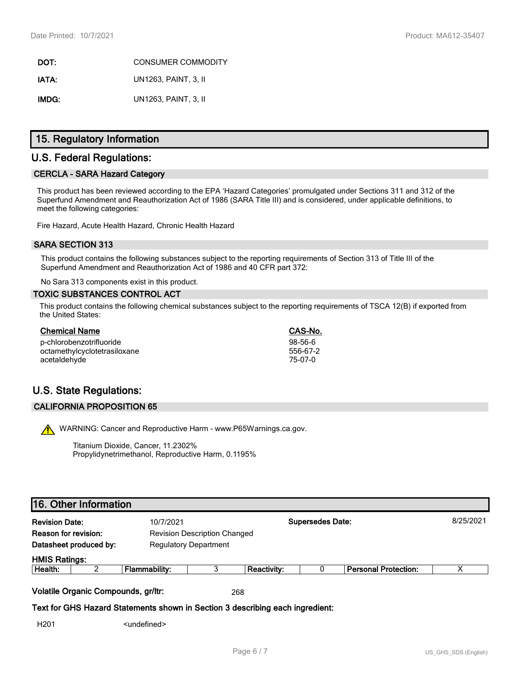**DOT:** CONSUMER COMMODITY **IATA:** UN1263, PAINT, 3, II **IMDG:** UN1263, PAINT, 3, II

## **15. Regulatory Information**

## **U.S. Federal Regulations:**

### **CERCLA - SARA Hazard Category**

This product has been reviewed according to the EPA 'Hazard Categories' promulgated under Sections 311 and 312 of the Superfund Amendment and Reauthorization Act of 1986 (SARA Title III) and is considered, under applicable definitions, to meet the following categories:

Fire Hazard, Acute Health Hazard, Chronic Health Hazard

### **SARA SECTION 313**

This product contains the following substances subject to the reporting requirements of Section 313 of Title III of the Superfund Amendment and Reauthorization Act of 1986 and 40 CFR part 372:

No Sara 313 components exist in this product.

### **TOXIC SUBSTANCES CONTROL ACT**

This product contains the following chemical substances subject to the reporting requirements of TSCA 12(B) if exported from the United States:

| <b>Chemical Name</b>         | CAS-No.   |
|------------------------------|-----------|
| p-chlorobenzotrifluoride     | $98-56-6$ |
| octamethylcyclotetrasiloxane | 556-67-2  |
| acetaldehyde                 | 75-07-0   |

# **U.S. State Regulations:**

### **CALIFORNIA PROPOSITION 65**

WARNING: Cancer and Reproductive Harm - www.P65Warnings.ca.gov.

Titanium Dioxide, Cancer, 11.2302% Propylidynetrimethanol, Reproductive Harm, 0.1195%

# **16. Other Information**

| <b>Revision Date:</b><br>10/7/2021 |                                     |                                                                               |     |                    | <b>Supersedes Date:</b> |                             | 8/25/2021 |
|------------------------------------|-------------------------------------|-------------------------------------------------------------------------------|-----|--------------------|-------------------------|-----------------------------|-----------|
| <b>Reason for revision:</b>        |                                     | <b>Revision Description Changed</b>                                           |     |                    |                         |                             |           |
|                                    | Datasheet produced by:              | <b>Regulatory Department</b>                                                  |     |                    |                         |                             |           |
| <b>HMIS Ratings:</b>               |                                     |                                                                               |     |                    |                         |                             |           |
| Health:                            | ົ                                   | Flammability:                                                                 | 3   | <b>Reactivity:</b> |                         | <b>Personal Protection:</b> | х         |
|                                    | Volatile Organic Compounds, gr/ltr: |                                                                               | 268 |                    |                         |                             |           |
|                                    |                                     | Text for GHS Hazard Statements shown in Section 3 describing each ingredient: |     |                    |                         |                             |           |
| H <sub>201</sub>                   |                                     | <undefined></undefined>                                                       |     |                    |                         |                             |           |